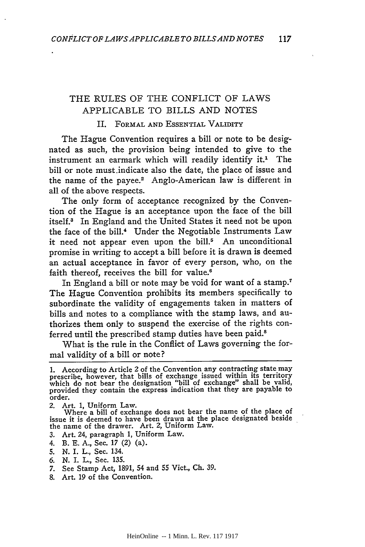## THE **RULES** OF THE CONFLICT OF LAWS APPLICABLE TO BILLS AND NOTES

## II. FORMAL **AND** ESSENTIAL VALIDITY

The Hague Convention requires a bill or note to be designated as such, the provision being intended to give to the instrument an earmark which will readily identify it.<sup>1</sup> The bill or note must.indicate also the date, the place of issue and the name of the payee.<sup>2</sup> Anglo-American law is different in all of the above respects.

The only form of acceptance recognized by the Convention of the Hague is an acceptance upon the face of the bill itself.3 In England and the United States it need not be upon the face of the bill.4 Under the Negotiable Instruments Law it need not appear even upon the bill.<sup>5</sup> An unconditional promise in writing to accept a bill before it is drawn is deemed an actual acceptance in favor of every person, who, on the faith thereof, receives the bill for value.<sup>6</sup>

In England a bill or note may be void for want of a stamp.7 The Hague Convention prohibits its members specifically to subordinate the validity of engagements taken in matters of bills and notes to a compliance with the stamp laws, and authorizes them only to suspend the exercise of the rights conferred until the prescribed stamp duties have been paid.<sup>8</sup>

What is the rule in the Conflict of Laws governing the formal validity of a bill or note?

- *3.* Art. 24, paragraph **1,** Uniform Law.
- 4. B. E. **A.,** Sec. **17** (2) (a).
- *5.* N. I. L., Sec. 134.
- 6. N. I. L., Sec. **135.**
- 7. See Stamp Act, **1891,** 54 and **55** Vict., Ch. 39.
- **8.** Art. **19** of the Convention.

**<sup>1.</sup>** According to Article 2 of the Convention any contracting state may prescribe, however, that bills of exchange issued within its territory which do not bear the designation "bill of exchange" shall be valid, provided they contain the express indication that they are payable to order.

<sup>2.</sup> Art. **1,** Uniform Law.

Where a bill of exchange does not bear the name of the place of issue it is deemed to have been drawn at the place designated beside the name of the drawer. Art. 2, Uniform Law.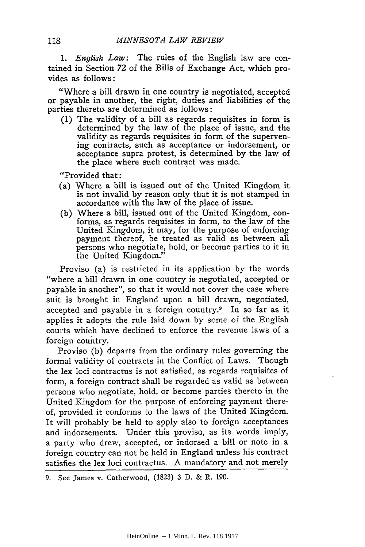*1. English Law:* The rules of the English law are contained in Section 72 of the Bills of Exchange Act, which provides as follows:

"Where a bill drawn in one country is negotiated, accepted or payable in another, the right, duties and liabilities of the parties thereto. are determined as follows:

(1) The validity of a bill as regards requisites in form is determined by the law of the place of issue, and the validity as regards requisites in form of the supervening contracts, such as acceptance or indorsement, or acceptance supra protest, is determined by the law of the place where such contract was made.

"Provided that:

- (a) Where a bill is issued out of the United Kingdom it is not invalid by reason only that it is not stamped in accordance with the law of the place of issue.
- (b) Where a bill, issued out of the United Kingdom, conforms, as regards requisites in form, to the law of the United Kingdom, it may, for the purpose of enforcing payment thereof, be treated as valid as between all persons who negotiate, hold, or become parties to it in the United Kingdom."

Proviso (a) is restricted in its application by the words "where a bill drawn in one country is negotiated, accepted or payable in another", so that it would not cover the case where suit is brought in England upon a bill drawn, negotiated, accepted and payable in a foreign country.<sup>9</sup> In so far as it applies it adopts the rule laid down by some of the English courts which have declined to enforce the revenue laws of a foreign country.

Proviso (b) departs from the ordinary rules governing the formal validity of contracts in the Conflict of Laws. Though the lex loci contractus is not satisfied, as regards requisites of form, a foreign contract shall be regarded as valid as between persons who negotiate, hold, or become parties thereto in the United Kingdom for the purpose of enforcing payment thereof, provided it conforms to the laws of the United Kingdom. It will probably be held to apply also to foreign acceptances and indorsements. Under this proviso, as its words imply, a party who drew, accepted, or indorsed a bill or note in a foreign country can not be held in England unless his contract satisfies the lex loci contractus. A mandatory and not merely

<sup>9.</sup> See James v. Catherwood, (1823) 3 D. & R. 190.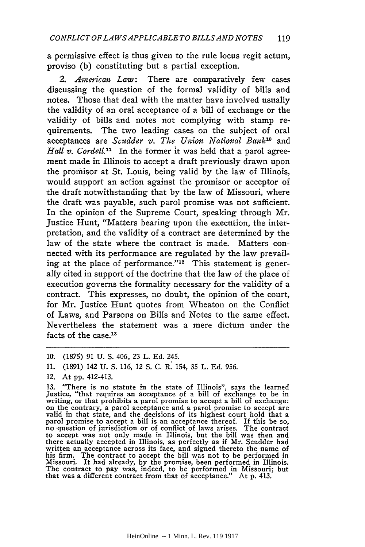a permissive effect is thus given to the rule locus regit actum, proviso (b) constituting but a partial exception.

*2. American Law:* There are comparatively few cases discussing the question of the formal validity of bills and notes. Those that deal with the matter have involved usually the validity of an oral acceptance of a bill of exchange or the validity of bills and notes not complying with stamp requirements. The two leading cases on the subject of oral acceptances are *Scudder v. The Union National Bank'10* and *Hall v. Cordell."* In the former it was held that a parol agreement made in Illinois to accept a draft previously drawn upon the promisor at St. Louis, being valid by the law of Illinois, would support an action against the promisor or acceptor of the draft notwithstanding that by the law of Missouri, where the draft was payable, such parol promise was not sufficient. In the opinion of the Supreme Court, speaking through Mr. Justice Hunt, "Matters bearing upon the execution, the interpretation, and the validity of a contract are determined by the law of the state where the contract is made. Matters connected with its performance are regulated by the law prevailing at the place of performance." $12$  This statement is generally cited in support of the doctrine that the law of the place of execution governs the formality necessary for the validity of a contract. This expresses, no doubt, the opinion of the court, for Mr. Justice Hunt quotes from Wheaton on the Conflict of Laws, and Parsons on Bills and Notes to the same effect. Nevertheless the statement was a mere dictum under the facts of the case.<sup>13</sup>

<sup>10. (1875) 91</sup> U. S. 406, 23 L. Ed. 245.

<sup>11. (1891) 142</sup> U. S. 116, 12 S. C. R. 154, 35 L. Ed. 956.

<sup>12.</sup> At pp. 412-413.

<sup>13. &</sup>quot;There is no statute in the state of Illinois", says the learned Justice, "that requires an acceptance of a bill of exchange to be in writing, or that prohibits a parol promise to accept a bill of exchange:<br>on the contrary, a parol acceptance and a parol promise to accept are<br>valid in that state, and the decisions of its highest court hold that a<br>parol p to accept was not only made in Illinois, but the bill was then and there actually accepted in Illinois, as perfectly as if Mr. Scudder had written an acceptance across its face, and signed thereto the name of his firm. The contract to accept the bill was not to be performed in Missouri. It had already, by the promise, been performed in Illinois. The contract to pay was, indeed, to be performed in Missouri; but that was a different contract from that of acceptance." At p. 413.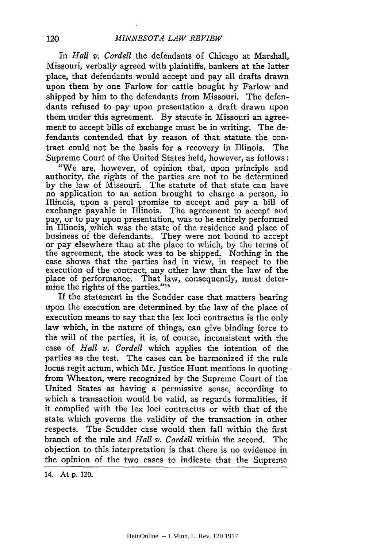In *Hall v. Cordell* the defendants of Chicago at Marshall, Missouri, verbally agreed with plaintiffs, bankers at the latter place, that defendants would accept and pay all drafts drawn upon them by one Farlow for cattle bought by Farlow and shipped by him to the defendants from Missouri. The defendants refused to pay- upon presentation a draft drawn upon them under this agreement. By statute in Missouri an agreement to accept bills of exchange must be in writing. The defendants contended that by reason of that statute the contract could not be the basis for a recovery in Illinois. The Supreme Court of the United States held, however, as follows:

"We are, however, of opinion that, upon principle and authority, the rights of the parties are not to be determined by the law of Missouri. The statute of that state can have no application to an action brought to charge a person, in Illinois, upon a parol promise to accept and pay a bill of exchange payable in Illinois. The agreement to accept and pay, or to pay upon presentation, was to be entirely performed in Illinois, which was the state of the residence and place of business of the defendants. They were not bound to accept or pay elsewhere than at the place to which, **by** the terms of the agreement, the stock was to be shipped. Nothing in the case shows that the parties had in view, in respect to the execution of the contract, any other law than the law of the place of performance. That law, consequently, must determine the rights of the parties."<sup>14</sup>

If the statement in the Scudder case that matters bearing upon the execution are determined **by** the law of the place of execution means to say that the lex loci contractus is the only law which, in the nature of things, can give binding force to the will of the parties, it is, of course, inconsistent with the case of *Hall v. Cordell* which applies the intention of the parties as the test. The cases can be harmonized if the rule locus regit actum, which Mr. Justice Hunt mentions in quoting. from Wheaton, were recognized **by** the Supreme Court of the United States as having a permissive sense, according to which a transaction would be valid, as regards formalities, if it complied with the lex loci contractus or with that of the state, which governs the validity of the transaction in other respects. The Scudder case would then fall within the first branch of the rule and *Hall v. Cordell* within the second. The objection to this interpretation is that there is no evidence in the opinion of the two cases to indicate that the Supreme

14. At **p.** 120.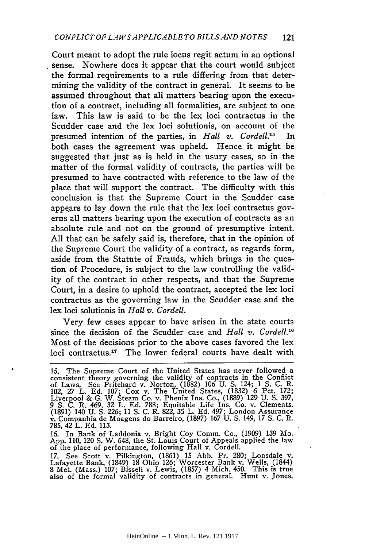Court meant to adopt the rule locus regit actum in an optional sense. Nowhere does it appear that the court would subject the formal requirements to a rule differing from that determining the validity of the contract in general. It seems to be assumed throughout that all matters bearing upon the execution of a contract, including all formalities, are subject to one law. This law is said to be the lex loci contractus in the Scudder case and the lex loci solutionis, on account of the presumed intention of the parties, in *Hall v. Cordell.15* In both cases the agreement was upheld. Hence it might be suggested that just as is held in the usury cases, so in the matter of the formal validity of contracts, the parties will be presumed to have contracted with reference to the law of the place that will support the contract. The difficulty with this conclusion is that the Supreme Court in the Scudder case appears to lay down the rule that the lex loci contractus governs all matters bearing upon the execution of contracts as an absolute rule and not on the ground of presumptive intent. All that can be safely said is, therefore, that in the opinion of the Supreme Court the validity of a contract, as regards form, aside from the Statute of Frauds, which brings in the question of Procedure, is subject to the law controlling the validity of the contract in other respects; and that the Supreme Court, in a desire to uphold the contract, accepted the lex loci contractus as the governing law in the Scudder case and the lex loci solutionis in *Hall v. Cordell.*

Very few cases appear to have arisen in the state courts since the decision of the Scudder case and *Hall v. Cordell."6* Most of the decisions prior to the above cases favored the lex loci contractus.<sup>17</sup> The lower federal courts have dealt with

16. In Bank of Laddonia v. Bright Coy Comm. Co., (1909) 139 Mo. App. 110, 120 **S.** W. 648, the St. Louis Court of Appeals applied the law of the place of performance, following Hall v. Cordell.

17. See Scott v. Pilkington, (1861) 15 Abb. Pr. 280; Lonsdale v. Lafayette Bank, (1849) 18 Ohio 126; Worcester Bank v. Wells, (1844) 8 Met. (Mass.) 107; Bissell v. Lewis, (1857) 4 Mich. 450. This is true also of the formal validity of contracts in general. Hunt v. Jones.

<sup>15.</sup> The Supreme Court of the United States has never followed a consistent theory governing the validity of contracts in the Conflict of Laws. See Pritchard v. Norton, (1882) 106 U. S. 124; 1 S. C. R. 102, 27 L. Ed. 107; C Liverpool & G. W. Steam Co. v. Phenix Ins. Co., (1889) 129 U. **S.** 397, 9 **S.** C. R. 469, 32 L. Ed. 788; Equitable Life Ins. Co. v. Clements. (1891) 140 U. **S.** 226; 11 **S.** C. R. **822,** 35 L. Ed. 497; London Assurance v. Companhia de Moagens do Barreiro, (1897) 167 U. **S.** 149, 17 **S.** C. R. 785, 42 L. Ed. 113.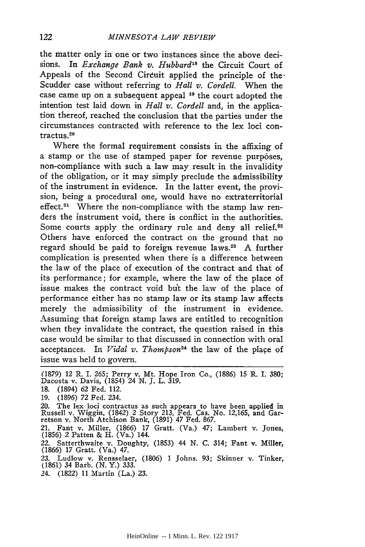the matter only in one or two instances since the above decisions. In *Exchange Bank v. Hubbard*<sup>18</sup> the Circuit Court of Appeals of the Second Circuit applied the principle of the Scudder case without referring to *Hall v. Cordell.* When the case came up on a subsequent appeal **19** the court adopted the intention test laid down in *Hall v. Cordell* and, in the application thereof, reached the conclusion that the parties under the circumstances contracted with reference to the lex loci contractus.<sup>20</sup>

Where the formal requirement consists in the affixing of a stamp or the use of stamped paper for revenue purposes, non-compliance with such a law may result in the invalidity of the obligation, or it may simply preclude the admissibility of the instrument in evidence. In the latter event, the provision, being a procedural one, would have no extraterritorial effect.<sup>21</sup> Where the non-compliance with the stamp law renders the instrument void, there is conflict in the authorities. Some courts apply the ordinary rule and deny all relief.<sup>22</sup> Others have enforced the contract on the ground that no regard should be paid to foreign revenue **laws.23** A further complication is presented when there is a difference between the law of the place of execution of the contract and that of its performance; for example, where the law of the place of issue makes the contract void but the law of the place of performance either has no stamp law or its stamp law affects merely the admissibility of the instrument in evidence. Assuming that foreign stamp laws are entitled to recognition when they invalidate the contract, the question raised in this case would be similar to that discussed in connection with oral acceptances. In *Vidal v. Thompson<sup>24</sup>*the law of the place of issue was held to govern.

(1879) 12 R. I. 265; Perry v. Mt. Hope Iron Co., (1886) 15 R. I. 380; Dacosta v. Davis, (1854) 24 N. *J.* L. 319. 18. (1894) 62 Fed. 112. 19. (1896) 72 Fed. 234. 20. The lex loci contractus as such appears to have been applied in Russell v. Wiggin, (1842) 2 Story 213, Fed. Cas. No. 12,165, and Gar-retson v. North Atchison Bank, (1891) 47 Fed. 867. 21. Fant v. Miller, (1866) 17 Gratt. (Va.) 47; Lambert v. Jones, (1856) 2 Patten & H. (Va.) 144. 22. Satterthwaite v. Doughty, (1853) 44 N. C. 314; Fant v. Miller, (1866) 17 Gratt. (Va.) 47. 23. Ludlow v. Rensselaer, (1806) 1 Johns. 93; Skinner v. Tinker, (1861) 34 Barb. (N. Y.) 333. 24. (1822) 11 Martin (La.) 23.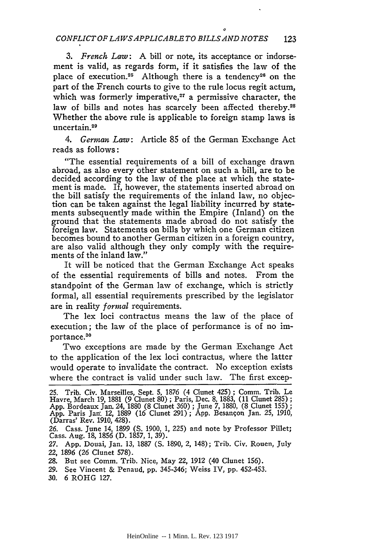*3. French Law:* A bill or note, its acceptance or indorsement is valid, as regards form, if it satisfies the law of the place of execution.<sup>25</sup> Although there is a tendency<sup>26</sup> on the part of the French courts to give to the rule locus regit actum, which was formerly imperative, $27$  a permissive character, the law of bills and notes has scarcely been affected thereby.<sup>28</sup> Whether the above rule is applicable to foreign stamp laws is uncertain.<sup>29</sup>

*4. German Law:* Article 85 of the German Exchange Act reads as follows:

"The essential requirements of a bill of exchange drawn abroad, as also every other statement on such a bill, are to be decided according to the law of the place at which the statement is made. If, however, the statements inserted abroad on the bill satisfy the requirements of the inland law, no objection can be taken against the legal liability incurred by statements subsequently made within the Empire (Inland) on the ground that the statements made abroad do not satisfy the foreign law. Statements on bills by which one German citizen becomes bound to another German citizen in a foreign country, are also valid although they only comply with the requirements of the inland law."

It will be noticed that the German Exchange Act speaks of the essential requirements of bills and notes. From the standpoint of the German law of exchange, which is strictly formal, all essential requirements prescribed by the legislator are in reality *formal* requirements.

The lex loci contractus means the law of the place of execution; the law of the place of performance is of no importance.<sup>30</sup>

Two exceptions are made by the German Exchange Act to the application of the lex loci contractus, where the latter would operate to invalidate the contract. No exception exists where the contract is valid under such law. The first excep-

*27.* App. Douai, Jan. 13, 1887 (S. 1890, 2, 148); Trib. Civ. Rouen, July 22, 1896 (26 Clunet 578).

29. See Vincent & Penaud, pp. 345-346; Weiss IV, pp. 452-453.

30. 6 ROHG 127.

HeinOnline -- 1 Minn. L. Rev. 123 1917

<sup>25.</sup> Trib. Civ. Marseilles, Sept. 5, 1876 (4 Clunet 425) ; Comm. Trib. Le Havre, March 19, 1881 (9 Clunet 80) ; Paris, Dec. 8, 1883, (11 Clunet 285) ;<br>App. Bordeaux Jan. 24, 1880 (8 Clunet 360) ; June 7, 1880, (8 Clunet 155) ;<br>App. Paris Jan. 12, 1889 (16 Clunet 291) ; App. Besançon Jan. 25, 191

<sup>26.</sup> Cass. June 14, 1899 (S. 1900, 1, 225) and note by Professor Pillet; Cass. Aug. 18, 1856 (D. 1857, 1, 39).

<sup>28.</sup> But see Comm. Trib. Nice, May 22, 1912 (40 Clunet 156).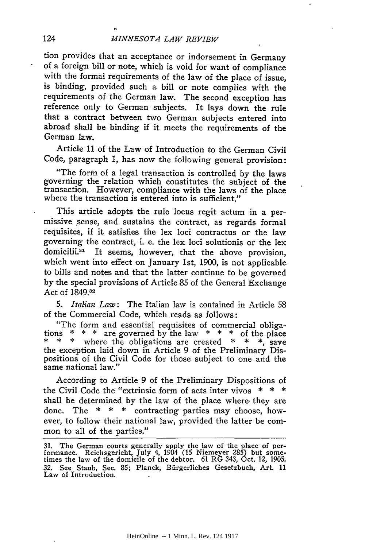tion provides that an acceptance or indorsement in Germany of a foreign bill or note, which is void for want of compliance with the formal requirements of the law of the place of issue, is binding, provided such a bill or note complies with the requirements of the German law. The second exception has reference only to German subjects. It lays down the rule that a contract between two German subjects entered into abroad shall be binding if it meets the requirements of the German law.

Article 11 of the Law of Introduction to the German Civil Code, paragraph 1, has now the following general provision:

"The form of a legal transaction is controlled by the laws governing the relation which constitutes the subject of the transaction. However, compliance with the laws of the place where the transaction is entered into is sufficient."

This article adopts the rule locus regit actum in a permissive sense, and sustains the contract, as regards formal requisites, if it satisfies the lex loci contractus or the law governing the contract, i. e. the lex loci solutionis or the lex domicilii.<sup>31</sup> It seems, however, that the above provision, which went into effect on January 1st, 1900, is not applicable to bills and notes and that the latter continue to be governed by the special provisions of Article 85 of the General Exchange Act of 1849.32

*5. Italian Law:* The Italian law is contained in Article 58 of the Commercial Code, which reads as follows:

"The form and essential requisites of commercial obligations \* \* \* are governed by the law \* \* \* of the place \* \* \* where the obligations are created \* \* \*, save the exception laid down in Article 9 of the Preliminary Dispositions of the Civil Code for those subject to one and the same national law."

According to Article 9 of the Preliminary Dispositions of the Civil Code the "extrinsic form of acts inter vivos  $* * *$ shall be determined by the law of the place where. they are done. The \* \* \* contracting parties may choose, however, to follow their national law, provided the latter be common to all of the parties."

**31.** The German courts generally apply the law of the place of per- formance. Reichsgericht, July 4, 1904 **(15** Niemeyer 285) but some- times the law of the domicile of the debtor. 61 RG 343, Oct. 12, 1905. 32. See Staub, Sec. **85;** Planck, Biirgerliches Gesetzbuch, Art. 11 Law of Introduction.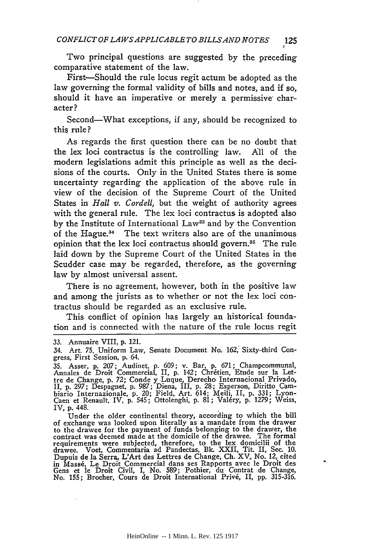Two principal questions are suggested by the preceding comparative statement of the law.

First-Should the rule locus regit actum be adopted as the law governing the formal validity of bills and notes, and if so, should it have an imperative or merely a permissive character?

Second-What exceptions, if any, should be recognized to this rule?

As regards the first question there can be no doubt that the lex loci contractus is the controlling law. **All** of the modern legislations admit this principle as well as the decisions of the courts. Only in the United States there is some uncertainty regarding the application of the above rule in view of the decision of the Supreme Court of the United States in *Hall v. Cordell,* but the weight of authority agrees with the general rule. The lex loci contractus is adopted also by the Institute of International Law<sup>33</sup> and by the Convention of the Hague.<sup>34</sup> The text writers also are of the unanimous opinion that the lex loci contractus should govern.<sup>35</sup> The rule laid down by the Supreme Court of the United States in the Scudder case may be regarded, therefore, as the governing law by almost universal assent.

There is no agreement, however, both in the positive law and among the jurists as to whether or not the lex loci contractus should be regarded as an exclusive rule.

This conflict of opinion has largely an historical foundation and is connected with the nature of the rule locus regit

Under the older continental theory, according to which the bill of exchange was looked upon literally as a mandate from the drawer to the drawee for the payment of funds belonging to the drawer, the contract was deemed made at the domicile of the drawee. The formal requirements were subjected, therefore, to the lex domicilii of the drawee. Voet, Commentaria ad Pandectas, **Bk.** XXII, Tit. II, Sec. **10.** Dupuis de la Serra, L'Art des Lettres de Change, Ch. XV, No. 12, cited in Mass6. Le Droit Commercial dans ses Rapports avec le Droit des Gens et le Droit Civil, I, No. 589; Pothier, du Contrat de Change, No. 155; Brocher, Cours de Droit International Priv6, II, **pp.** 315-316.

<sup>33.</sup> Annuaire VIII, p. 121.

<sup>34.</sup> Art. 75, Uniform Law, Senate Document No. 162, Sixty-third Congress, First Session, p. *64.*

<sup>35.</sup> Asser, p. 207; Audinet, p. 609; v. Bar, p. 671; Champcommunal, Annales de Droit Commercial, II, p. 142; Chr6tien, Etude sur la Lettre de Change, p. 72; Conde y Luque, Derecho Internacional Privado, II, p. *297;* Despagnet, p. 987; Diena, III, p. 28; Esperson, Diritto Cambiario Internazionale, p. 20; Field, Art. 614; Meili, II, p. 331; Lyon-Caen et Renault, IV, p. 545; Ottolenghi, **p.** 81; Val6ry, **p.** 1279; Weiss, IV, p. 448.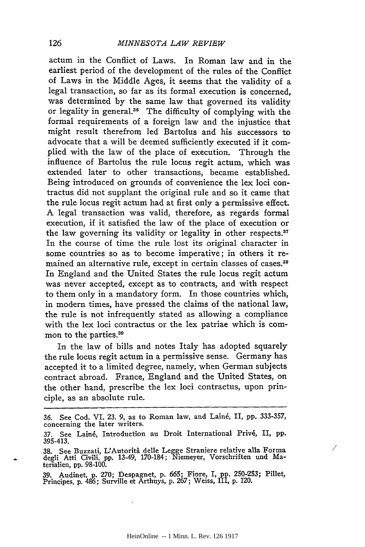actum in the Conflict of Laws. In Roman law and in the earliest period of the development of the rules of the Conflict of Laws in the Middle Ages, it seems that the validity of a legal transaction, so far as its formal execution is concerned, was determined by the same law that governed its validity or legality in general.<sup>36</sup> The difficulty of complying with the formal requirements of a foreign law and the injustice that might result therefrom led Bartolus and his successors to advocate that a will be deemed sufficiently executed if it complied with the law of the place of execution. Through the influence of Bartolus the rule locus regit actum, which was extended later to other transactions, became established. Being introduced on grounds of convenience the lex loci contractus did not supplant the original rule and so it came that the rule locus regit actum had at first only a permissive effect. A legal transaction was valid, therefore, as regards formal execution, if it satisfied the law of the place of execution or the law governing its validity or legality in other respects.<sup>37</sup> In the course of time the rule lost its original character in some countries so as to become imperative; in others it remained an alternative rule, except in certain classes of cases.<sup>38</sup> In England and the United States the rule locus regit actum was never accepted, except as to contracts, and with respect to them only in a mandatory form. In those countries which, in modern times, have pressed the claims of the national law, the rule is not infrequently stated as allowing a compliance with the lex loci contractus or the lex patriae which is common to the parties.<sup>39</sup>

In the law of bills and notes Italy has adopted squarely the rule locus regit actum in a permissive sense. Germany has accepted it to a limited degree, namely, when German subjects contract abroad. France, England and the United States, on the other hand, prescribe the lex loci contractus, upon principle, as an absolute rule.

Γ

39. Audinet, p. 270; Despagnet, p. 665; Fiore, I, pp. 250-253; Pillet, Principes, p. 486; Surville et Arthuys, p. 267; Weiss, III, p. 120.

**<sup>36.</sup>** See Cod. VI. **23. 9,** as to Roman law, and Lain6, II, **pp.** 333-357, concerning the later writers.

<sup>37.</sup> See Lainé, Introduction au Droit International Privé, II, pp. 395-413.

<sup>38.</sup> See Buzzati, L'Autorita delle Legge Straniere relative alla Forma degli Atti Civili, pp. 13-49, 170-184; Niemeyer, Vorschriften und Materialien, pp. 98-100.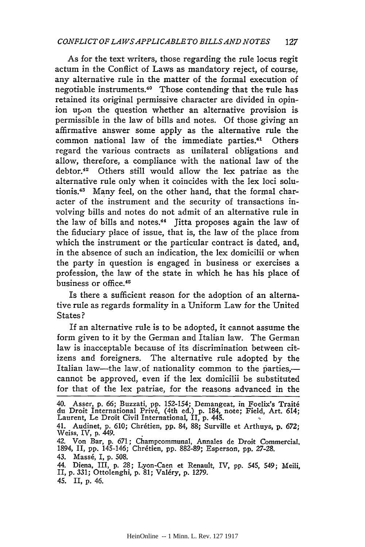As for the text writers, those regarding the rule locus regit actum in the Conflict of Laws as mandatory reject, of course, any alternative rule in the matter of the formal execution of negotiable instruments.<sup>40</sup> Those contending that the rule has retained its original permissive character are divided in opinion upon the question whether an alternative provision is permissible in the law of bills and notes. Of those giving an affirmative answer some apply as the alternative rule the common national law of the immediate parties.<sup>41</sup> Others regard the various contracts as unilateral obligations and allow, therefore, a compliance with the national law of the debtor.<sup>42</sup> Others still would allow the lex patriae as the alternative rule only when it coincides with the lex loci solutionis.43 Many feel, on the other hand, that the formal character of the instrument and the security of transactions involving bills and notes do not admit of an alternative rule in the law of bills and notes.<sup>44</sup> Jitta proposes again the law of the fiduciary place of issue, that is, the law of the place from which the instrument or the particular contract is dated, and, in the absence of such an indication, the lex domicilii or when the party in question is engaged in business or exercises a profession, the law of the state in which he has his place of business or office. <sup>45</sup>

Is there a sufficient reason for the adoption of an alternative rule as regards formality in a Uniform Law for the United States?

If an alternative rule is to be adopted, it cannot assume the form given to it by the German and Italian law. The German law is inacceptable because of its discrimination between citizens and foreigners. The alternative rule adopted by the Italian law-the law of nationality common to the parties,cannot be approved, even if the lex domicilii be substituted for that of the lex patriae, for the reasons advanced in the

45. II, p. 46.

<sup>40.</sup> Asser, p. **66;** Buzzati, pp. 152-154; Demangeat, in Foelix's Trait6 du Droit International Privé, (4th ed.) p. 184, note; Field, Art. 614; Laurent, Le Droit Civil International, II, p. 445.

<sup>41.</sup> Audinet, p. 610; Chr~tien, pp. 84, **88;** Surville et Arthuys, p. 672; Weiss, IV, p. 449.

<sup>42.</sup> Von Bar, p. 671; Champcommunal, Annales de Droit Commercial.<br>1894, II, pp. 145-146; Chrétien, pp. 882-89; Esperson, pp. 27-28.

<sup>43.</sup> Mass6, I, p. 508.

<sup>44.</sup> Diena, III, p. **28;** Lyon-Caen et Renault, IV, pp. 545, 549; Meili, II, p. 331; Ottolenghi, p. **81;** Val6ry, p. 1279.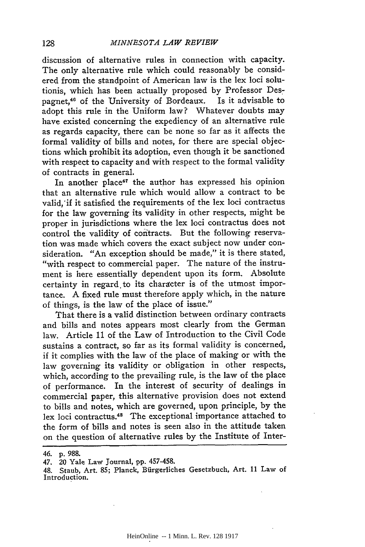discussion of alternative rules in connection with capacity. The only alternative rule which could reasonably be considered from the standpoint of American law is the lex loci solutionis, which has been actually proposed by Professor Despagnet,46 of the University of Bordeaux. Is it advisable to adopt this rule in the Uniform law? Whatever doubts may have existed concerning the expediency of an alternative rule as regards capacity, there can be none so far as it affects the formal validity of bills and notes, for there are special objections which prohibit its adoption, even though it be sanctioned with respect to capacity and with respect to the formal validity of contracts in general.

In another place<sup>47</sup> the author has expressed his opinion that an alternative rule which would allow a contract to be valid,'if it satisfied the requirements of the lex loci contractus for the law governing its validity in other respects, might be proper in jurisdictions where the lex loci contractus does not control the validity of contracts. But the following reservation was made which covers the exact subject now under consideration. "An exception should be made," it is there stated, "with respect to commercial paper. The nature of the instrument is here essentially dependent upon its form. Absolute certainty in regard to its character is of the utmost importance. A fixed rule must therefore apply which, in the nature of things, is the law of the place of issue."

That there is a valid distinction between ordinary contracts and bills and notes appears most clearly from the German law. Article 11 of the Law of Introduction to the Civil Code sustains a contract, so far as its formal validity is concerned, if it complies with the law of the place of making or with the law governing its validity or obligation in other respects, which, according to the prevailing rule, is the law of the place of performance. In the interest of security of dealings in commercial paper, this alternative provision does not extend to bills and notes, which are governed, upon principle, by the lex loci contractus.<sup>48</sup> The exceptional importance attached to the form of bills and notes is seen also in the attitude taken on the question of alternative rules by the Institute of Inter-

<sup>46.</sup> p. 988.

<sup>47. 20</sup> Yale Law Journal, pp. 457-458.

<sup>48.</sup> Staub, Art. 85; Planck, Bfirgerliches Gesetzbuch, Art. 11 Law of Introduction.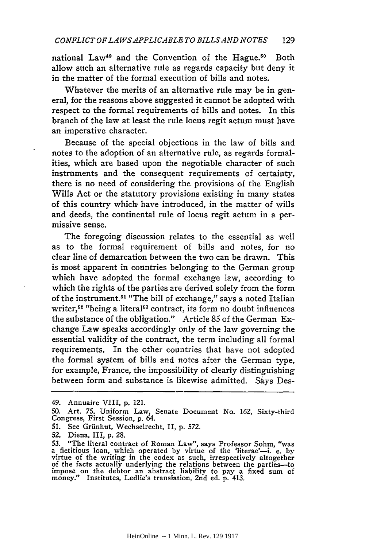national Law<sup>49</sup> and the Convention of the Hague.<sup>50</sup> Both allow such an alternative rule as regards capacity but deny it in the matter of the formal execution of bills and notes.

Whatever the merits of an alternative rule may be in general, for the reasons above suggested it cannot be adopted with respect to the formal requirements of bills and notes. In this branch of the law at least the rule locus regit actum must have an imperative character.

Because of the special objections in the law of bills and notes to the adoption of an alternative rule, as regards formalities, which are based upon the negotiable character of such instruments and the consequent requirements of certainty, there is no need of considering the provisions of the English Wills Act or the statutory provisions existing in many states of this country which- have introduced, in the matter of wills and deeds, the continental rule of locus regit actum in a permissive sense.

The foregoing discussion relates to the essential as well as to the formal requirement of bills and notes, for no clear line of demarcation between the two can be drawn. This is most apparent in countries belonging to the German group which have adopted the formal exchange law, according to which the rights of the parties are derived solely from the form of the instrument.51 "The bill of exchange," says a noted Italian writer,<sup>52</sup> "being a literal<sup>53</sup> contract, its form no doubt influences the substance of the obligation." Article 85 of the German Exchange Law speaks accordingly only of the law governing the essential validity of the contract, the term including all formal requirements. In the other countries that have not adopted the formal system of bills and notes after the German type, for example, France, the impossibility of clearly distinguishing between form and substance is likewise admitted. Says Des-

51. See Griinhut, Wechselrecht, II, p. 572.

<sup>49.</sup> Annuaire VIII, p. 121.

**<sup>50.</sup>** Art. **75,** Uniform Law, Senate Document No. 162, Sixty-third Congress, First Session, **p.** 64.

<sup>52.</sup> Diena, III, p. 28.

<sup>53. &</sup>quot;The literal contract of Roman Law", says Professor Sohm, "was<br>a fictitious loan, which operated by virtue of the 'literae'—i. e. by<br>virtue of the writing in the codex as such, irrespectively altogether<br>of the facts ac money." Institutes, Ledlie's translation, 2nd ed. p. 413.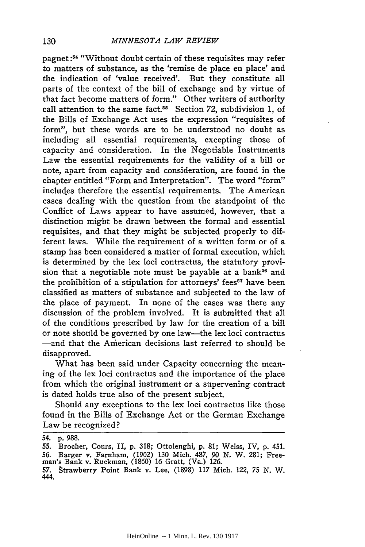pagnet:<sup>54</sup> "Without doubt certain of these requisites may refer to matters of substance, as the 'remise de place en place' and the indication of 'value received'. But they constitute all parts of the context of the bill of exchange and **by** virtue of that fact become matters of form." Other writers of authority call attention to the same fact.<sup>55</sup> Section 72, subdivision 1, of the Bills of Exchange Act uses the expression "requisites of form", but these words are to be understood no doubt as including all essential requirements, excepting those of capacity and consideration. In the Negotiable Instruments Law the essential requirements for the validity of a bill or note, apart from capacity and consideration, are found in the chapter entitled "Form and Interpretation". The word "form" includes therefore the essential requirements. The American cases dealing with the question from the standpoint of the Conflict of Laws appear to have assumed, however, that a distinction might be drawn between the formal and essential requisites, and that they might be subjected properly to different laws. While the requirement of a written form or of a stamp has been considered a matter of formal execution, which is determined **by** the lex loci contractus, the statutory provision that a negotiable note must be payable at a bank<sup>56</sup> and the prohibition of a stipulation for attorneys' fees<sup>57</sup> have been classified as matters of substance and subjected to the law of the place of payment. In none of the cases was there any discussion of the problem involved. It is submitted that all of the conditions prescribed **by** law for the creation of a bill or note should be governed **by** one law-the lex loci contractus -and that the American decisions last referred to should be disapproved.

What has been said under Capacity concerning the meaning of the lex loci contractus and the importance of the place from which the original instrument or a supervening contract is dated holds true also of the present subject.

Should any exceptions to the lex loci contractus like those found in the Bills of Exchange Act or the German Exchange Law be recognized?

<sup>54.</sup> **p.** 988.

<sup>55.</sup> Brocher, Cours, II, p. 318; Ottolenghi, p. 81; Weiss, IV, p. 451. 56. Barger v. Farnham, (1902) 130 Mich. 487, 90 *N.* W. 281; Free-man's Bank v. Ruckman, (1860) 16 Gratt, (Va.) 126.

<sup>57.</sup> Strawberry Point Bank v. Lee, (1898) 117 Mich. 122, 75 N. W. 444.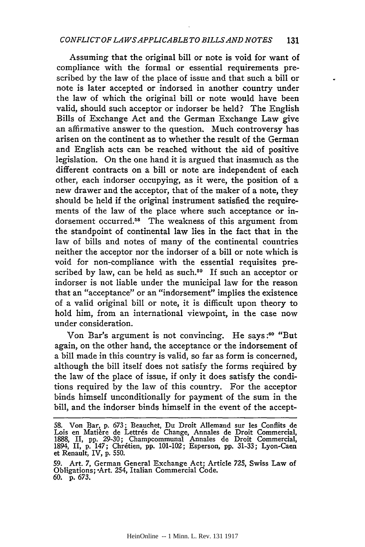Assuming that the original bill or note is void for want of compliance with the formal or essential requirements prescribed by the law of the place of issue and that such a bill or note is later accepted or indorsed in another country under the law of which the original bill or note would have been valid, should such acceptor or indorser be held? The English Bills of Exchange Act and the German Exchange Law give an affirmative answer to the question. Much controversy has arisen on the continent as to whether the result of the German and English acts can be reached without the aid of positive legislation. On the one hand it is argued that inasmuch as the different contracts on a bill or note are independent of each other, each indorser occupying, as it were, the position of a new drawer and the acceptor, that of the maker of a note, they should be held if the original instrument satisfied the requirements of the law of the place where such acceptance or indorsement occurred.58 The weakness of this argument from the standpoint of continental law lies in the fact that in the law of bills and notes of many of the continental countries neither the acceptor nor the indorser of a bill or note which is void for non-compliance with the essential requisites prescribed by law, can be held as such.<sup>59</sup> If such an acceptor or indorser is not liable under the municipal law for the reason that an "acceptance?' or an "indorsement" implies the existence of a valid original bill or note, it is difficult upon theory to hold him, from an international viewpoint, in the case now under consideration.

Von Bar's argument is not convincing. He says **:60** "But again, on the other hand, the acceptance or the indorsement of a bill made in this country is valid, so far as form is concerned, although the bill itself does not satisfy the forms required by the law of the place of issue, if only it does satisfy the conditions required by the law of this country. For the acceptor binds himself unconditionally for payment of the sum in the bill, and the indorser binds himself in the event of the accept-

<sup>58.</sup> Von Bar, p. 673; Beauchet, Du Droit Allemand sur les Conflits de<br>Lois en Matière de Lettrés de Change, Annales de Droit Commercial.<br>1888, II, pp. 29-30; Champcommunal Annales de Droit Commercial.<br>1894, II, p. 147; Chré et Renault, IV, p. 550.

<sup>59.</sup> Art. 7, German General Exchange Act; Article 725, Swiss Law of Obligations; -Art. 254, Italian Commercial Code. 60. p. 673.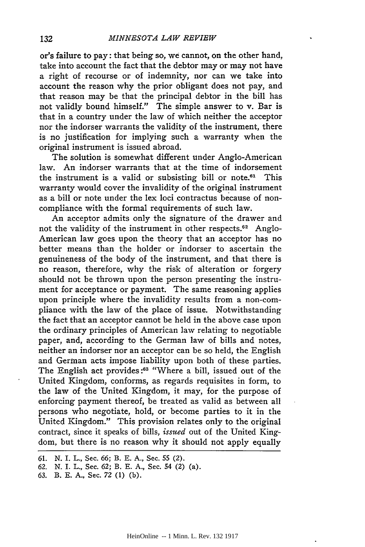or's failure to pay: that being so, we cannot, on the other hand, take into account the fact that the debtor may or may not have a right of recourse or of indemnity, nor can we take into account the reason why the prior obligant does not pay, and that reason may be that the principal debtor in the bill has not validly bound himself." The simple answer to v. Bar is that in a country under the law of which neither the acceptor nor the indorser warrants the validity of the instrument, there is no justification for implying such a warranty when the original instrument is issued abroad.

The solution is somewhat different under Anglo-American law. An indorser warrants that at the time of indorsement the instrument is a valid or subsisting bill or note.61 This warranty would cover the invalidity of the original instrument as a bill or note under the lex loci contractus because of noncompliance with the formal requirements of such law.

An acceptor admits only the signature of the drawer and not the validity of the instrument in other respects.<sup>62</sup> Anglo-American law goes upon the theory that an acceptor has no better means than the holder or indorser to ascertain the genuineness of the body of the instrument, and that there is no reason, therefore, why the risk of alteration or forgery should not be thrown upon the person presenting the instrument for acceptance or payment. The same reasoning applies upon principle where the invalidity results from a non-compliance with the law of the place of issue. Notwithstanding the fact that an acceptor cannot be held in the above case upon the ordinary principles of American law relating to negotiable paper, and, according to the German law of bills and notes, neither an indorser nor an acceptor can be so held, the English and German acts impose liability upon both of these parties. The English act provides **:63** "Where a bill, issued out of the United Kingdom, conforms, as regards requisites in form, to the law of the United Kingdom, it may, for the purpose of enforcing payment thereof, be treated as valid as between all persons who negotiate, hold, or become parties to it in the United Kingdom." This provision relates only to the original contract, since it speaks of bills, *issued* out of the United Kingdom, but there is no reason why it should not apply equally

<sup>61.</sup> N. I. L., Sec. 66; B. E. A., Sec. 55 (2).

<sup>62.</sup> N. I. L., Sec. 62; B. E. A., Sec. 54 (2) (a).

**<sup>63.</sup>** B. **E. A.,** Sec. **72** (1) (b).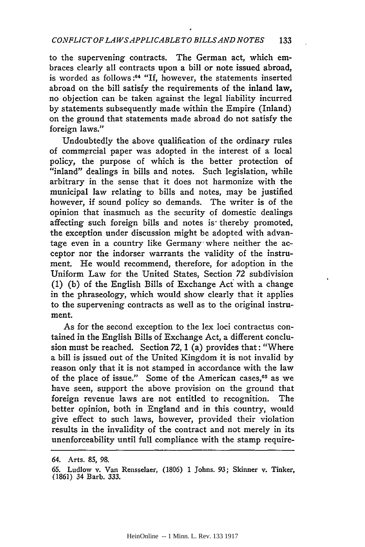to the supervening contracts. The German act, which embraces clearly all contracts upon a bill or note issued abroad, is worded as follows:<sup>64</sup> "If, however, the statements inserted abroad on the bill satisfy the requirements of the inland law, no objection can be taken against the legal liability incurred by statements subsequently made within the Empire (Inland) on the ground that statements made abroad do not satisfy the foreign laws."

Undoubtedly the above qualification of the ordinary rules of commercial paper was adopted in the interest of a local policy, the purpose of which is the better protection of "inland" dealings in bills and notes. Such legislation, while arbitrary in the sense that it does not harmonize with the municipal law relating to bills and notes, may be justified however, if sound policy so demands. The writer is of the opinion that inasmuch as the security of domestic dealings affecting such foreign bills and notes is thereby promoted, the exception under discussion might be adopted with advantage even in a country like Germany where neither the acceptor nor the indorser warrants the validity of the instrument. He would recommend, therefore, for adoption in the Uniform Law for the United States, Section 72 subdivision  $(1)$   $(b)$  of the English Bills of Exchange Act with a change in the phraseology, which would show clearly that it applies to the supervening contracts as well as to the original instrument.

As for the second exception to the lex loci contractus contained in the English Bills of Exchange Act, a different conclusion must be reached. Section  $72$ , 1 (a) provides that: "Where a bill is issued out of the United Kingdom it is not invalid by reason only that it is not stamped in accordance with the law of the place of issue." Some of the American cases,<sup>65</sup> as we have seen, support the above provision on the ground that foreign revenue laws are not entitled to recognition. The better opinion, both in England and in this country, would give effect to such laws, however, provided their violation results in the invalidity of the contract and not merely in its unenforceability until full compliance with the stamp require-

<sup>64.</sup> Arts. 85, 98.

<sup>65.</sup> Ludlow v. Van Rensselaer, (1806) 1 Johns. 93; Skinner v. Tinker, (1861) 34 Barb. 333.